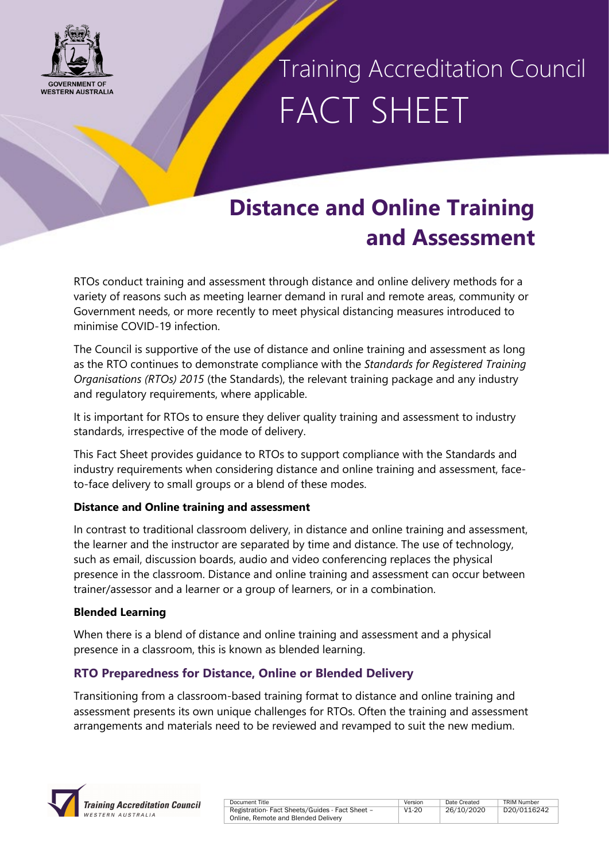

# Training Accreditation Council FACT SHEET

## **Distance and Online Training and Assessment**

RTOs conduct training and assessment through distance and online delivery methods for a variety of reasons such as meeting learner demand in rural and remote areas, community or Government needs, or more recently to meet physical distancing measures introduced to minimise COVID-19 infection.

The Council is supportive of the use of distance and online training and assessment as long as the RTO continues to demonstrate compliance with the *Standards for Registered Training Organisations (RTOs) 2015* (the Standards), the relevant training package and any industry and regulatory requirements, where applicable.

It is important for RTOs to ensure they deliver quality training and assessment to industry standards, irrespective of the mode of delivery.

This Fact Sheet provides guidance to RTOs to support compliance with the Standards and industry requirements when considering distance and online training and assessment, faceto-face delivery to small groups or a blend of these modes.

### **Distance and Online training and assessment**

In contrast to traditional classroom delivery, in distance and online training and assessment, the learner and the instructor are separated by time and distance. The use of technology, such as email, discussion boards, audio and video conferencing replaces the physical presence in the classroom. Distance and online training and assessment can occur between trainer/assessor and a learner or a group of learners, or in a combination.

#### **Blended Learning**

When there is a blend of distance and online training and assessment and a physical presence in a classroom, this is known as blended learning.

### **RTO Preparedness for Distance, Online or Blended Delivery**

Transitioning from a classroom-based training format to distance and online training and assessment presents its own unique challenges for RTOs. Often the training and assessment arrangements and materials need to be reviewed and revamped to suit the new medium.



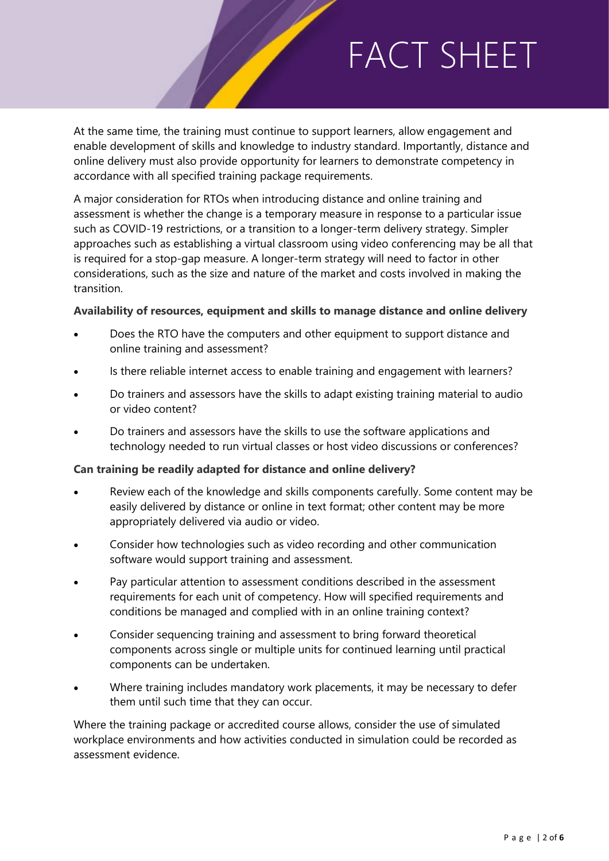At the same time, the training must continue to support learners, allow engagement and enable development of skills and knowledge to industry standard. Importantly, distance and online delivery must also provide opportunity for learners to demonstrate competency in accordance with all specified training package requirements.

A major consideration for RTOs when introducing distance and online training and assessment is whether the change is a temporary measure in response to a particular issue such as COVID-19 restrictions, or a transition to a longer-term delivery strategy. Simpler approaches such as establishing a virtual classroom using video conferencing may be all that is required for a stop-gap measure. A longer-term strategy will need to factor in other considerations, such as the size and nature of the market and costs involved in making the transition.

#### **Availability of resources, equipment and skills to manage distance and online delivery**

- Does the RTO have the computers and other equipment to support distance and online training and assessment?
- Is there reliable internet access to enable training and engagement with learners?
- Do trainers and assessors have the skills to adapt existing training material to audio or video content?
- Do trainers and assessors have the skills to use the software applications and technology needed to run virtual classes or host video discussions or conferences?

#### **Can training be readily adapted for distance and online delivery?**

- Review each of the knowledge and skills components carefully. Some content may be easily delivered by distance or online in text format; other content may be more appropriately delivered via audio or video.
- Consider how technologies such as video recording and other communication software would support training and assessment.
- Pay particular attention to assessment conditions described in the assessment requirements for each unit of competency. How will specified requirements and conditions be managed and complied with in an online training context?
- Consider sequencing training and assessment to bring forward theoretical components across single or multiple units for continued learning until practical components can be undertaken.
- Where training includes mandatory work placements, it may be necessary to defer them until such time that they can occur.

Where the training package or accredited course allows, consider the use of simulated workplace environments and how activities conducted in simulation could be recorded as assessment evidence.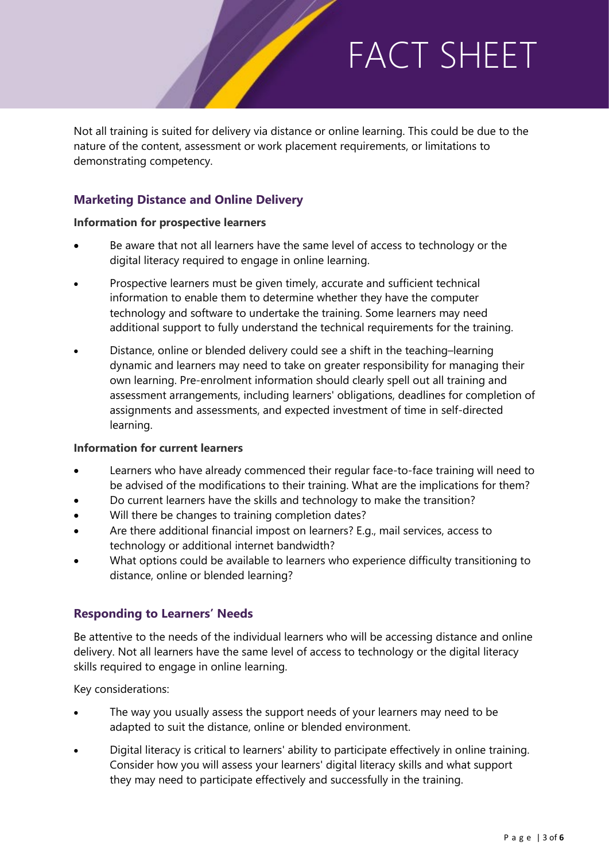Not all training is suited for delivery via distance or online learning. This could be due to the nature of the content, assessment or work placement requirements, or limitations to demonstrating competency.

### **Marketing Distance and Online Delivery**

#### **Information for prospective learners**

- Be aware that not all learners have the same level of access to technology or the digital literacy required to engage in online learning.
- Prospective learners must be given timely, accurate and sufficient technical information to enable them to determine whether they have the computer technology and software to undertake the training. Some learners may need additional support to fully understand the technical requirements for the training.
- Distance, online or blended delivery could see a shift in the teaching–learning dynamic and learners may need to take on greater responsibility for managing their own learning. Pre-enrolment information should clearly spell out all training and assessment arrangements, including learners' obligations, deadlines for completion of assignments and assessments, and expected investment of time in self-directed learning.

#### **Information for current learners**

- Learners who have already commenced their regular face-to-face training will need to be advised of the modifications to their training. What are the implications for them?
- Do current learners have the skills and technology to make the transition?
- Will there be changes to training completion dates?
- Are there additional financial impost on learners? E.g., mail services, access to technology or additional internet bandwidth?
- What options could be available to learners who experience difficulty transitioning to distance, online or blended learning?

### **Responding to Learners' Needs**

Be attentive to the needs of the individual learners who will be accessing distance and online delivery. Not all learners have the same level of access to technology or the digital literacy skills required to engage in online learning.

Key considerations:

- The way you usually assess the support needs of your learners may need to be adapted to suit the distance, online or blended environment.
- Digital literacy is critical to learners' ability to participate effectively in online training. Consider how you will assess your learners' digital literacy skills and what support they may need to participate effectively and successfully in the training.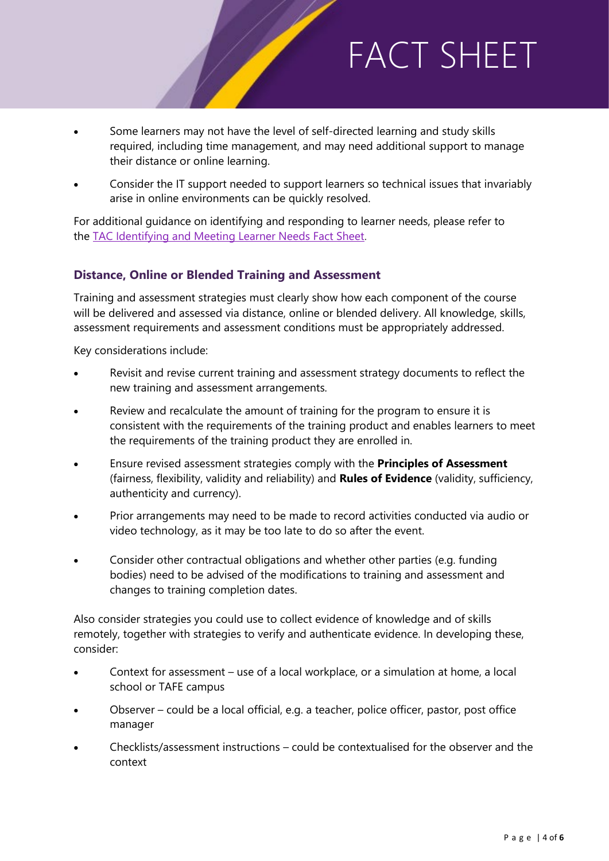- Some learners may not have the level of self-directed learning and study skills required, including time management, and may need additional support to manage their distance or online learning.
- Consider the IT support needed to support learners so technical issues that invariably arise in online environments can be quickly resolved.

For additional guidance on identifying and responding to learner needs, please refer to the [TAC Identifying and Meeting Learner Needs Fact Sheet.](https://tac.wa.gov.au/SiteCollectionDocuments/2018-13791.pdf)

### **Distance, Online or Blended Training and Assessment**

Training and assessment strategies must clearly show how each component of the course will be delivered and assessed via distance, online or blended delivery. All knowledge, skills, assessment requirements and assessment conditions must be appropriately addressed.

Key considerations include:

- Revisit and revise current training and assessment strategy documents to reflect the new training and assessment arrangements.
- Review and recalculate the amount of training for the program to ensure it is consistent with the requirements of the training product and enables learners to meet the requirements of the training product they are enrolled in.
- Ensure revised assessment strategies comply with the **Principles of Assessment** (fairness, flexibility, validity and reliability) and **Rules of Evidence** (validity, sufficiency, authenticity and currency).
- Prior arrangements may need to be made to record activities conducted via audio or video technology, as it may be too late to do so after the event.
- Consider other contractual obligations and whether other parties (e.g. funding bodies) need to be advised of the modifications to training and assessment and changes to training completion dates.

Also consider strategies you could use to collect evidence of knowledge and of skills remotely, together with strategies to verify and authenticate evidence. In developing these, consider:

- Context for assessment use of a local workplace, or a simulation at home, a local school or TAFE campus
- Observer could be a local official, e.g. a teacher, police officer, pastor, post office manager
- Checklists/assessment instructions could be contextualised for the observer and the context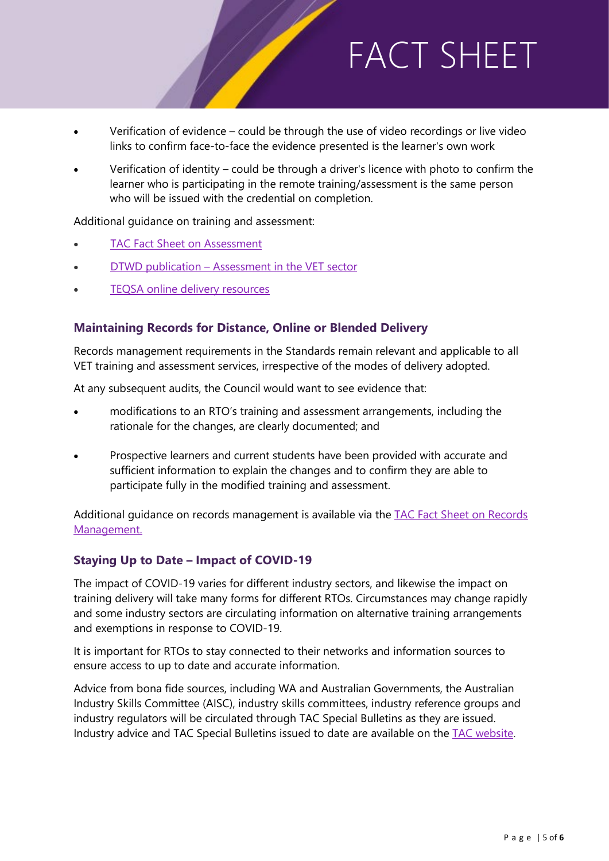- Verification of evidence could be through the use of video recordings or live video links to confirm face-to-face the evidence presented is the learner's own work
- Verification of identity could be through a driver's licence with photo to confirm the learner who is participating in the remote training/assessment is the same person who will be issued with the credential on completion.

Additional guidance on training and assessment:

- [TAC Fact Sheet on Assessment](https://tac.wa.gov.au/SiteCollectionDocuments/2018-13804.pdf)
- DTWD publication [Assessment in the VET sector](http://www.dtwd.wa.gov.au/sites/default/files/uploads/Assessment%20in%20the%20VET%20Sector%20-%202016%20-%20Final.pdf)
- TEQSA [online delivery resources](https://www.teqsa.gov.au/online-learning-good-practice)

### **Maintaining Records for Distance, Online or Blended Delivery**

Records management requirements in the Standards remain relevant and applicable to all VET training and assessment services, irrespective of the modes of delivery adopted.

At any subsequent audits, the Council would want to see evidence that:

- modifications to an RTO's training and assessment arrangements, including the rationale for the changes, are clearly documented; and
- Prospective learners and current students have been provided with accurate and sufficient information to explain the changes and to confirm they are able to participate fully in the modified training and assessment.

Additional guidance on records management is available via the [TAC Fact Sheet on Records](https://tac.wa.gov.au/SiteCollectionDocuments/D20%200062501.pdf)  [Management.](https://tac.wa.gov.au/SiteCollectionDocuments/D20%200062501.pdf)

#### **Staying Up to Date – Impact of COVID-19**

The impact of COVID-19 varies for different industry sectors, and likewise the impact on training delivery will take many forms for different RTOs. Circumstances may change rapidly and some industry sectors are circulating information on alternative training arrangements and exemptions in response to COVID-19.

It is important for RTOs to stay connected to their networks and information sources to ensure access to up to date and accurate information.

Advice from bona fide sources, including WA and Australian Governments, the Australian Industry Skills Committee (AISC), industry skills committees, industry reference groups and industry regulators will be circulated through TAC Special Bulletins as they are issued. Industry advice and TAC Special Bulletins issued to date are available on the [TAC website.](https://tac.wa.gov.au/newsandevent/Pages/default.aspx)